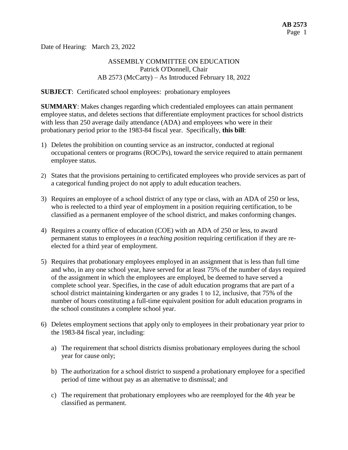Date of Hearing: March 23, 2022

# ASSEMBLY COMMITTEE ON EDUCATION Patrick O'Donnell, Chair AB 2573 (McCarty) – As Introduced February 18, 2022

#### **SUBJECT**: Certificated school employees: probationary employees

**SUMMARY**: Makes changes regarding which credentialed employees can attain permanent employee status, and deletes sections that differentiate employment practices for school districts with less than 250 average daily attendance (ADA) and employees who were in their probationary period prior to the 1983-84 fiscal year. Specifically, **this bill**:

- 1) Deletes the prohibition on counting service as an instructor, conducted at regional occupational centers or programs (ROC/Ps), toward the service required to attain permanent employee status.
- 2) States that the provisions pertaining to certificated employees who provide services as part of a categorical funding project do not apply to adult education teachers.
- 3) Requires an employee of a school district of any type or class, with an ADA of 250 or less, who is reelected to a third year of employment in a position requiring certification, to be classified as a permanent employee of the school district, and makes conforming changes.
- 4) Requires a county office of education (COE) with an ADA of 250 or less, to award permanent status to employees *in a teaching position* requiring certification if they are reelected for a third year of employment.
- 5) Requires that probationary employees employed in an assignment that is less than full time and who, in any one school year, have served for at least 75% of the number of days required of the assignment in which the employees are employed, be deemed to have served a complete school year. Specifies, in the case of adult education programs that are part of a school district maintaining kindergarten or any grades 1 to 12, inclusive, that 75% of the number of hours constituting a full-time equivalent position for adult education programs in the school constitutes a complete school year.
- 6) Deletes employment sections that apply only to employees in their probationary year prior to the 1983-84 fiscal year, including:
	- a) The requirement that school districts dismiss probationary employees during the school year for cause only;
	- b) The authorization for a school district to suspend a probationary employee for a specified period of time without pay as an alternative to dismissal; and
	- c) The requirement that probationary employees who are reemployed for the 4th year be classified as permanent.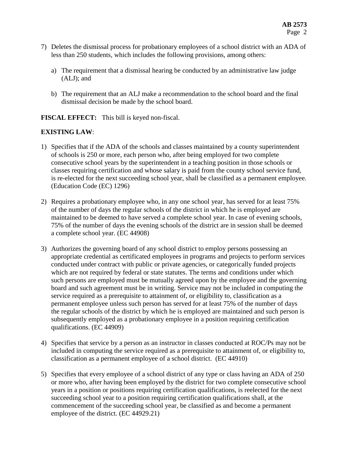- 7) Deletes the dismissal process for probationary employees of a school district with an ADA of less than 250 students, which includes the following provisions, among others:
	- a) The requirement that a dismissal hearing be conducted by an administrative law judge (ALJ); and
	- b) The requirement that an ALJ make a recommendation to the school board and the final dismissal decision be made by the school board.

**FISCAL EFFECT:** This bill is keyed non-fiscal.

# **EXISTING LAW**:

- 1) Specifies that if the ADA of the schools and classes maintained by a county superintendent of schools is 250 or more, each person who, after being employed for two complete consecutive school years by the superintendent in a teaching position in those schools or classes requiring certification and whose salary is paid from the county school service fund, is re-elected for the next succeeding school year, shall be classified as a permanent employee. (Education Code (EC) 1296)
- 2) Requires a probationary employee who, in any one school year, has served for at least 75% of the number of days the regular schools of the district in which he is employed are maintained to be deemed to have served a complete school year. In case of evening schools, 75% of the number of days the evening schools of the district are in session shall be deemed a complete school year. (EC 44908)
- 3) Authorizes the governing board of any school district to employ persons possessing an appropriate credential as certificated employees in programs and projects to perform services conducted under contract with public or private agencies, or categorically funded projects which are not required by federal or state statutes. The terms and conditions under which such persons are employed must be mutually agreed upon by the employee and the governing board and such agreement must be in writing. Service may not be included in computing the service required as a prerequisite to attainment of, or eligibility to, classification as a permanent employee unless such person has served for at least 75% of the number of days the regular schools of the district by which he is employed are maintained and such person is subsequently employed as a probationary employee in a position requiring certification qualifications. (EC 44909)
- 4) Specifies that service by a person as an instructor in classes conducted at ROC/Ps may not be included in computing the service required as a prerequisite to attainment of, or eligibility to, classification as a permanent employee of a school district. (EC 44910)
- 5) Specifies that every employee of a school district of any type or class having an ADA of 250 or more who, after having been employed by the district for two complete consecutive school years in a position or positions requiring certification qualifications, is reelected for the next succeeding school year to a position requiring certification qualifications shall, at the commencement of the succeeding school year, be classified as and become a permanent employee of the district. (EC 44929.21)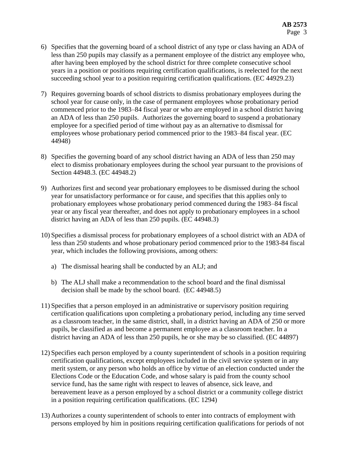- 6) Specifies that the governing board of a school district of any type or class having an ADA of less than 250 pupils may classify as a permanent employee of the district any employee who, after having been employed by the school district for three complete consecutive school years in a position or positions requiring certification qualifications, is reelected for the next succeeding school year to a position requiring certification qualifications. (EC 44929.23)
- 7) Requires governing boards of school districts to dismiss probationary employees during the school year for cause only, in the case of permanent employees whose probationary period commenced prior to the 1983–84 fiscal year or who are employed in a school district having an ADA of less than 250 pupils. Authorizes the governing board to suspend a probationary employee for a specified period of time without pay as an alternative to dismissal for employees whose probationary period commenced prior to the 1983–84 fiscal year. (EC 44948)
- 8) Specifies the governing board of any school district having an ADA of less than 250 may elect to dismiss probationary employees during the school year pursuant to the provisions of Section 44948.3. (EC 44948.2)
- 9) Authorizes first and second year probationary employees to be dismissed during the school year for unsatisfactory performance or for cause, and specifies that this applies only to probationary employees whose probationary period commenced during the 1983–84 fiscal year or any fiscal year thereafter, and does not apply to probationary employees in a school district having an ADA of less than 250 pupils. (EC 44948.3)
- 10) Specifies a dismissal process for probationary employees of a school district with an ADA of less than 250 students and whose probationary period commenced prior to the 1983-84 fiscal year, which includes the following provisions, among others:
	- a) The dismissal hearing shall be conducted by an ALJ; and
	- b) The ALJ shall make a recommendation to the school board and the final dismissal decision shall be made by the school board. (EC 44948.5)
- 11) Specifies that a person employed in an administrative or supervisory position requiring certification qualifications upon completing a probationary period, including any time served as a classroom teacher, in the same district, shall, in a district having an ADA of 250 or more pupils, be classified as and become a permanent employee as a classroom teacher. In a district having an ADA of less than 250 pupils, he or she may be so classified. (EC 44897)
- 12) Specifies each person employed by a county superintendent of schools in a position requiring certification qualifications, except employees included in the civil service system or in any merit system, or any person who holds an office by virtue of an election conducted under the Elections Code or the Education Code, and whose salary is paid from the county school service fund, has the same right with respect to leaves of absence, sick leave, and bereavement leave as a person employed by a school district or a community college district in a position requiring certification qualifications. (EC 1294)
- 13) Authorizes a county superintendent of schools to enter into contracts of employment with persons employed by him in positions requiring certification qualifications for periods of not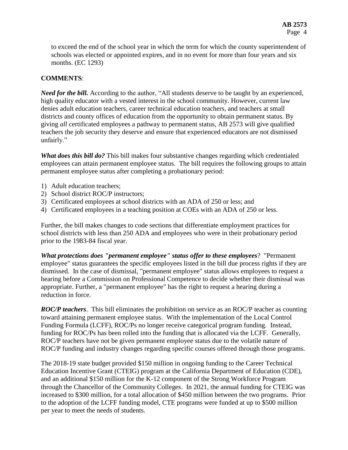to exceed the end of the school year in which the term for which the county superintendent of schools was elected or appointed expires, and in no event for more than four years and six months. (EC 1293)

## **COMMENTS**:

*Need for the bill.* According to the author, "All students deserve to be taught by an experienced, high quality educator with a vested interest in the school community. However, current law denies adult education teachers, career technical education teachers, and teachers at small districts and county offices of education from the opportunity to obtain permanent status. By giving *all* certificated employees a pathway to permanent status, AB 2573 will give qualified teachers the job security they deserve and ensure that experienced educators are not dismissed unfairly."

*What does this bill do?* This bill makes four substantive changes regarding which credentialed employees can attain permanent employee status. The bill requires the following groups to attain permanent employee status after completing a probationary period:

- 1) Adult education teachers;
- 2) School district ROC/P instructors;
- 3) Certificated employees at school districts with an ADA of 250 or less; and
- 4) Certificated employees in a teaching position at COEs with an ADA of 250 or less.

Further, the bill makes changes to code sections that differentiate employment practices for school districts with less than 250 ADA and employees who were in their probationary period prior to the 1983-84 fiscal year.

*What protections does "permanent employee" status offer to these employees*? "Permanent employee" status guarantees the specific employees listed in the bill due process rights if they are dismissed. In the case of dismissal, "permanent employee" status allows employees to request a hearing before a Commission on Professional Competence to decide whether their dismissal was appropriate. Further, a "permanent employee" has the right to request a hearing during a reduction in force.

*ROC/P teachers*. This bill eliminates the prohibition on service as an ROC/P teacher as counting toward attaining permanent employee status. With the implementation of the Local Control Funding Formula (LCFF), ROC/Ps no longer receive categorical program funding. Instead, funding for ROC/Ps has been rolled into the funding that is allocated via the LCFF. Generally, ROC/P teachers have not be given permanent employee status due to the volatile nature of ROC/P funding and industry changes regarding specific courses offered through those programs.

The 2018-19 state budget provided \$150 million in ongoing funding to the Career Technical Education Incentive Grant (CTEIG) program at the California Department of Education (CDE), and an additional \$150 million for the K-12 component of the Strong Workforce Program through the Chancellor of the Community Colleges. In 2021, the annual funding for CTEIG was increased to \$300 million, for a total allocation of \$450 million between the two programs. Prior to the adoption of the LCFF funding model, CTE programs were funded at up to \$500 million per year to meet the needs of students.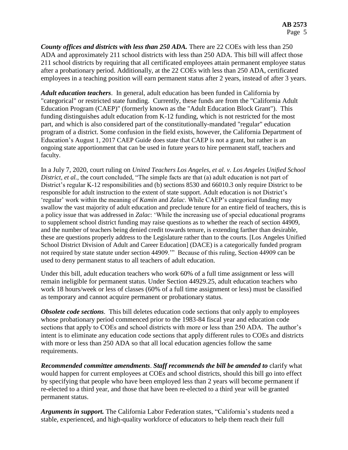*County offices and districts with less than 250 ADA.* There are 22 COEs with less than 250 ADA and approximately 211 school districts with less than 250 ADA. This bill will affect those 211 school districts by requiring that all certificated employees attain permanent employee status after a probationary period. Additionally, at the 22 COEs with less than 250 ADA, certificated employees in a teaching position will earn permanent status after 2 years, instead of after 3 years.

*Adult education teachers*. In general, adult education has been funded in California by "categorical" or restricted state funding. Currently, these funds are from the "California Adult Education Program (CAEP)" (formerly known as the "Adult Education Block Grant"). This funding distinguishes adult education from K-12 funding, which is not restricted for the most part, and which is also considered part of the constitutionally-mandated "regular" education program of a district. Some confusion in the field exists, however, the California Department of Education's August 1, 2017 CAEP Guide does state that CAEP is not a grant, but rather is an ongoing state apportionment that can be used in future years to hire permanent staff, teachers and faculty.

In a July 7, 2020, court ruling on *United Teachers Los Angeles, et al. v. Los Angeles Unified School District, et al.,* the court concluded, "The simple facts are that (a) adult education is not part of District's regular K-12 responsibilities and (b) sections 8530 and 66010.3 only require District to be responsible for adult instruction to the extent of state support. Adult education is not District's 'regular' work within the meaning of *Kamin* and *Zalac*. While CAEP's categorical funding may swallow the vast majority of adult education and preclude tenure for an entire field of teachers, this is a policy issue that was addressed in *Zalac*: 'While the increasing use of special educational programs to supplement school district funding may raise questions as to whether the reach of section 44909, and the number of teachers being denied credit towards tenure, is extending farther than desirable, these are questions properly address to the Legislature rather than to the courts. [Los Angeles Unified School District Division of Adult and Career Education] (DACE) is a categorically funded program not required by state statute under section 44909.'" Because of this ruling, Section 44909 can be used to deny permanent status to all teachers of adult education.

Under this bill, adult education teachers who work 60% of a full time assignment or less will remain ineligible for permanent status. Under Section 44929.25, adult education teachers who work 18 hours/week or less of classes (60% of a full time assignment or less) must be classified as temporary and cannot acquire permanent or probationary status.

*Obsolete code sections.* This bill deletes education code sections that only apply to employees whose probationary period commenced prior to the 1983-84 fiscal year and education code sections that apply to COEs and school districts with more or less than 250 ADA. The author's intent is to eliminate any education code sections that apply different rules to COEs and districts with more or less than 250 ADA so that all local education agencies follow the same requirements.

*Recommended committee amendments*. *Staff recommends the bill be amended to* clarify what would happen for current employees at COEs and school districts, should this bill go into effect by specifying that people who have been employed less than 2 years will become permanent if re-elected to a third year, and those that have been re-elected to a third year will be granted permanent status.

*Arguments in support.* The California Labor Federation states, "California's students need a stable, experienced, and high-quality workforce of educators to help them reach their full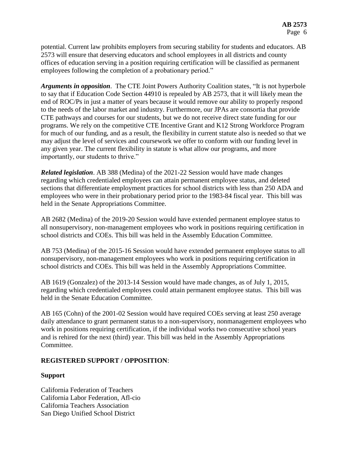potential. Current law prohibits employers from securing stability for students and educators. AB 2573 will ensure that deserving educators and school employees in all districts and county offices of education serving in a position requiring certification will be classified as permanent employees following the completion of a probationary period."

*Arguments in opposition*. The CTE Joint Powers Authority Coalition states, "It is not hyperbole to say that if Education Code Section 44910 is repealed by AB 2573, that it will likely mean the end of ROC/Ps in just a matter of years because it would remove our ability to properly respond to the needs of the labor market and industry. Furthermore, our JPAs are consortia that provide CTE pathways and courses for our students, but we do not receive direct state funding for our programs. We rely on the competitive CTE Incentive Grant and K12 Strong Workforce Program for much of our funding, and as a result, the flexibility in current statute also is needed so that we may adjust the level of services and coursework we offer to conform with our funding level in any given year. The current flexibility in statute is what allow our programs, and more importantly, our students to thrive."

*Related legislation*. AB 388 (Medina) of the 2021-22 Session would have made changes regarding which credentialed employees can attain permanent employee status, and deleted sections that differentiate employment practices for school districts with less than 250 ADA and employees who were in their probationary period prior to the 1983-84 fiscal year. This bill was held in the Senate Appropriations Committee.

AB 2682 (Medina) of the 2019-20 Session would have extended permanent employee status to all nonsupervisory, non-management employees who work in positions requiring certification in school districts and COEs. This bill was held in the Assembly Education Committee.

AB 753 (Medina) of the 2015-16 Session would have extended permanent employee status to all nonsupervisory, non-management employees who work in positions requiring certification in school districts and COEs. This bill was held in the Assembly Appropriations Committee.

AB 1619 (Gonzalez) of the 2013-14 Session would have made changes, as of July 1, 2015, regarding which credentialed employees could attain permanent employee status. This bill was held in the Senate Education Committee.

AB 165 (Cohn) of the 2001-02 Session would have required COEs serving at least 250 average daily attendance to grant permanent status to a non-supervisory, nonmanagement employees who work in positions requiring certification, if the individual works two consecutive school years and is rehired for the next (third) year. This bill was held in the Assembly Appropriations Committee.

## **REGISTERED SUPPORT / OPPOSITION**:

## **Support**

California Federation of Teachers California Labor Federation, Afl-cio California Teachers Association San Diego Unified School District